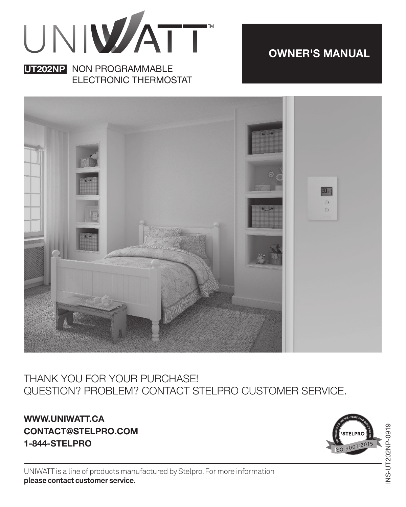

#### **UT202NP** NON PROGRAMMABLE ELECTRONIC THERMOSTAT

**UT202NP SERIES OWNER'S MANUAL**



#### THANK YOU FOR YOUR PURCHASE! QUESTION? PROBLEM? CONTACT STELPRO CUSTOMER SERVICE.

**WWW.UNIWATT.CA CONTACT@STELPRO.COM 1-844-STELPRO**



UNIWATT is a line of products manufactured by Stelpro. For more information **please contact customer service**.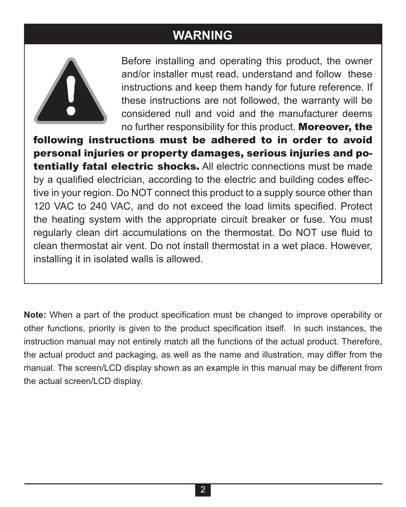### **WARNING**



Before installing and operating this product, the owner and/or installer must read, understand and follow these instructions and keep them handy for future reference. If these instructions are not followed, the warranty will be considered null and void and the manufacturer deems no further responsibility for this product. Moreover, the

following instructions must be adhered to in order to avoid personal injuries or property damages, serious injuries and potentially fatal electric shocks. All electric connections must be made by a qualified electrician, according to the electric and building codes effective in your region. Do NOT connect this product to a supply source other than 120 VAC to 240 VAC, and do not exceed the load limits specified. Protect the heating system with the appropriate circuit breaker or fuse. You must regularly clean dirt accumulations on the thermostat. Do NOT use fluid to clean thermostat air vent. Do not install thermostat in a wet place. However, installing it in isolated walls is allowed.

**Note:** When a part of the product specification must be changed to improve operability or other functions, priority is given to the product specification itself. In such instances, the instruction manual may not entirely match all the functions of the actual product. Therefore, the actual product and packaging, as well as the name and illustration, may differ from the manual. The screen/LCD display shown as an example in this manual may be different from the actual screen/LCD display.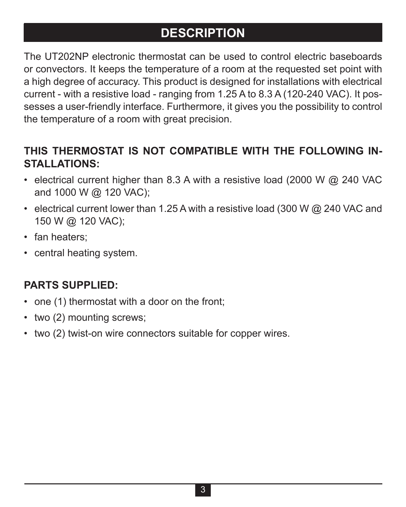## **DESCRIPTION**

The UT202NP electronic thermostat can be used to control electric baseboards or convectors. It keeps the temperature of a room at the requested set point with a high degree of accuracy. This product is designed for installations with electrical current - with a resistive load - ranging from 1.25 A to 8.3 A (120-240 VAC). It possesses a user-friendly interface. Furthermore, it gives you the possibility to control the temperature of a room with great precision.

#### **THIS THERMOSTAT IS NOT COMPATIBLE WITH THE FOLLOWING IN-STALLATIONS:**

- electrical current higher than 8.3 A with a resistive load (2000 W  $\omega$  240 VAC and 1000 W @ 120 VAC);
- electrical current lower than 1.25 A with a resistive load (300 W @ 240 VAC and 150 W @ 120 VAC);
- fan heaters;
- central heating system.

#### **PARTS SUPPLIED:**

- one (1) thermostat with a door on the front;
- two (2) mounting screws:
- two (2) twist-on wire connectors suitable for copper wires.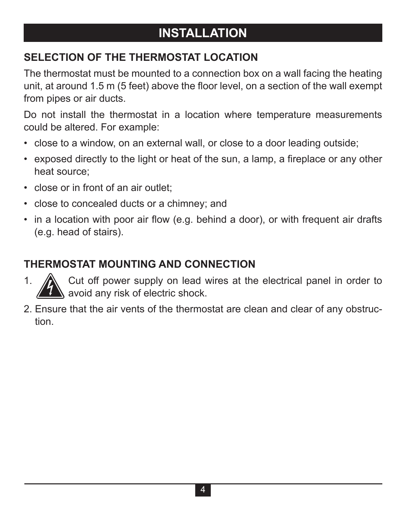## **INSTALLATION**

#### **SELECTION OF THE THERMOSTAT LOCATION**

The thermostat must be mounted to a connection box on a wall facing the heating unit, at around 1.5 m (5 feet) above the floor level, on a section of the wall exempt from pipes or air ducts.

Do not install the thermostat in a location where temperature measurements could be altered. For example:

- close to a window, on an external wall, or close to a door leading outside;
- exposed directly to the light or heat of the sun, a lamp, a fireplace or any other heat source;
- close or in front of an air outlet;
- close to concealed ducts or a chimney; and
- in a location with poor air flow (e.g. behind a door), or with frequent air drafts (e.g. head of stairs).

#### **THERMOSTAT MOUNTING AND CONNECTION**

- 1. A Cut off power supply on lead wires at the electrical panel in order to avoid any risk of electric shock.
- 2. Ensure that the air vents of the thermostat are clean and clear of any obstruction.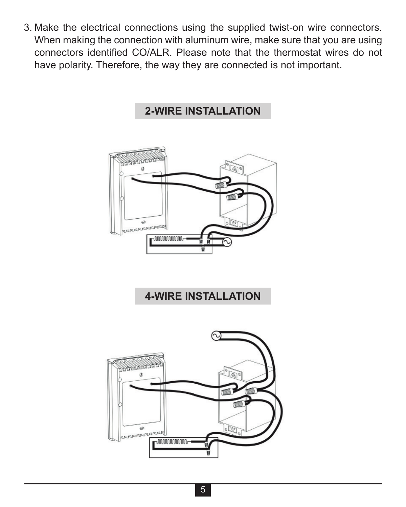3. Make the electrical connections using the supplied twist-on wire connectors. When making the connection with aluminum wire, make sure that you are using connectors identified CO/ALR. Please note that the thermostat wires do not have polarity. Therefore, the way they are connected is not important.

#### **2-WIRE INSTALLATION**



#### **4-WIRE INSTALLATION**

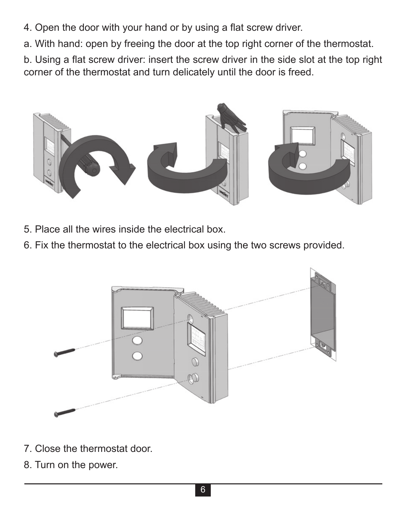- 4. Open the door with your hand or by using a flat screw driver.
- a. With hand: open by freeing the door at the top right corner of the thermostat.

b. Using a flat screw driver: insert the screw driver in the side slot at the top right corner of the thermostat and turn delicately until the door is freed.



- 5. Place all the wires inside the electrical box.
- 6. Fix the thermostat to the electrical box using the two screws provided.



- 7. Close the thermostat door.
- 8. Turn on the power.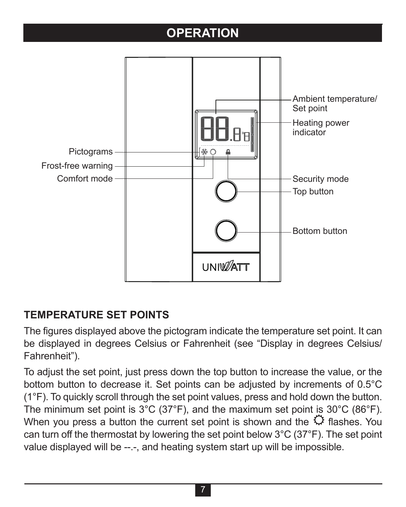## **OPERATION**



#### **TEMPERATURE SET POINTS**

The figures displayed above the pictogram indicate the temperature set point. It can be displayed in degrees Celsius or Fahrenheit (see "Display in degrees Celsius/ Fahrenheit").

To adjust the set point, just press down the top button to increase the value, or the bottom button to decrease it. Set points can be adjusted by increments of 0.5°C (1°F). To quickly scroll through the set point values, press and hold down the button. The minimum set point is 3°C (37°F), and the maximum set point is 30°C (86°F). When you press a button the current set point is shown and the  $\mathbb C$  flashes. You can turn off the thermostat by lowering the set point below 3°C (37°F). The set point value displayed will be --.-, and heating system start up will be impossible.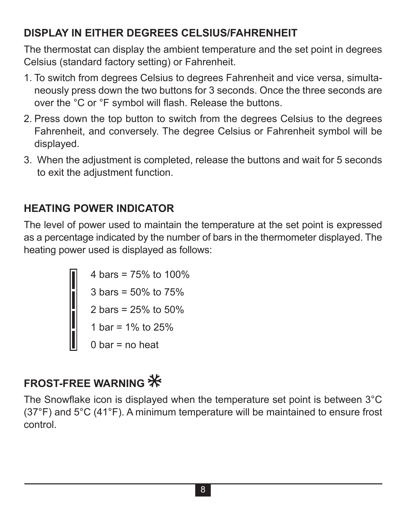#### **DISPLAY IN EITHER DEGREES CELSIUS/FAHRENHEIT**

The thermostat can display the ambient temperature and the set point in degrees Celsius (standard factory setting) or Fahrenheit.

- 1. To switch from degrees Celsius to degrees Fahrenheit and vice versa, simultaneously press down the two buttons for 3 seconds. Once the three seconds are over the °C or °F symbol will flash. Release the buttons.
- 2. Press down the top button to switch from the degrees Celsius to the degrees Fahrenheit, and conversely. The degree Celsius or Fahrenheit symbol will be displayed.
- 3. When the adjustment is completed, release the buttons and wait for 5 seconds to exit the adjustment function.

#### **HEATING POWER INDICATOR**

The level of power used to maintain the temperature at the set point is expressed as a percentage indicated by the number of bars in the thermometer displayed. The heating power used is displayed as follows:

```
4 \text{ hars} = 75\% \text{ to } 100\%3 bars = 50% to 75%
2 bars = 25% to 50%
1 har = 1\% to 25\%0 \text{ bar} = \text{no heat}
```
## **FROST-FREE WARNING**

The Snowflake icon is displayed when the temperature set point is between 3°C (37°F) and 5°C (41°F). A minimum temperature will be maintained to ensure frost control.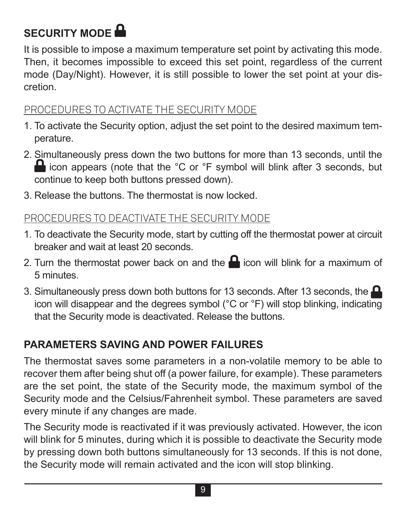# **SECURITY MODE**

It is possible to impose a maximum temperature set point by activating this mode. Then, it becomes impossible to exceed this set point, regardless of the current mode (Day/Night). However, it is still possible to lower the set point at your discretion.

#### PROCEDURES TO ACTIVATE THE SECURITY MODE

- 1. To activate the Security option, adjust the set point to the desired maximum temperature.
- 2. Simultaneously press down the two buttons for more than 13 seconds, until the **in** icon appears (note that the °C or °F symbol will blink after 3 seconds, but continue to keep both buttons pressed down).
- 3. Release the buttons. The thermostat is now locked.

#### PROCEDURES TO DEACTIVATE THE SECURITY MODE

- 1. To deactivate the Security mode, start by cutting off the thermostat power at circuit breaker and wait at least 20 seconds.
- 2. Turn the thermostat power back on and the  $\blacksquare$  icon will blink for a maximum of 5 minutes.
- 3. Simultaneously press down both buttons for 13 seconds. After 13 seconds, the  $\blacksquare$ icon will disappear and the degrees symbol (°C or °F) will stop blinking, indicating that the Security mode is deactivated. Release the buttons.

#### **PARAMETERS SAVING AND POWER FAILURES**

The thermostat saves some parameters in a non-volatile memory to be able to recover them after being shut off (a power failure, for example). These parameters are the set point, the state of the Security mode, the maximum symbol of the Security mode and the Celsius/Fahrenheit symbol. These parameters are saved every minute if any changes are made.

The Security mode is reactivated if it was previously activated. However, the icon will blink for 5 minutes, during which it is possible to deactivate the Security mode by pressing down both buttons simultaneously for 13 seconds. If this is not done, the Security mode will remain activated and the icon will stop blinking.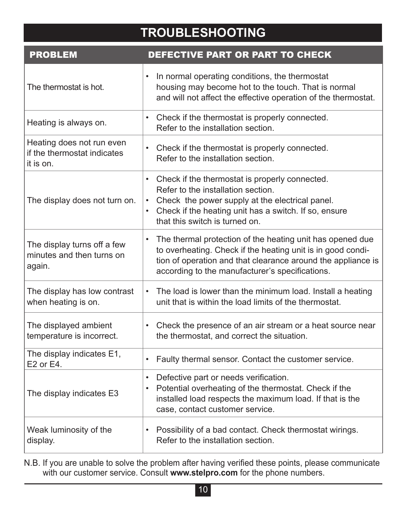## **TROUBLESHOOTING**

| <b>PROBLEM</b>                                                        | <b>DEFECTIVE PART OR PART TO CHECK</b>                                                                                                                                                                                                           |
|-----------------------------------------------------------------------|--------------------------------------------------------------------------------------------------------------------------------------------------------------------------------------------------------------------------------------------------|
| The thermostat is hot.                                                | In normal operating conditions, the thermostat<br>٠<br>housing may become hot to the touch. That is normal<br>and will not affect the effective operation of the thermostat.                                                                     |
| Heating is always on.                                                 | Check if the thermostat is properly connected.<br>Refer to the installation section.                                                                                                                                                             |
| Heating does not run even<br>if the thermostat indicates<br>it is on. | Check if the thermostat is properly connected.<br>$\bullet$<br>Refer to the installation section.                                                                                                                                                |
| The display does not turn on.                                         | Check if the thermostat is properly connected.<br>$\bullet$<br>Refer to the installation section.<br>Check the power supply at the electrical panel.<br>Check if the heating unit has a switch. If so, ensure<br>that this switch is turned on.  |
| The display turns off a few<br>minutes and then turns on<br>again.    | The thermal protection of the heating unit has opened due<br>٠<br>to overheating. Check if the heating unit is in good condi-<br>tion of operation and that clearance around the appliance is<br>according to the manufacturer's specifications. |
| The display has low contrast<br>when heating is on.                   | The load is lower than the minimum load. Install a heating<br>unit that is within the load limits of the thermostat.                                                                                                                             |
| The displayed ambient<br>temperature is incorrect.                    | Check the presence of an air stream or a heat source near<br>the thermostat, and correct the situation.                                                                                                                                          |
| The display indicates E1,<br>E2 or E4.                                | Faulty thermal sensor. Contact the customer service.<br>$\bullet$                                                                                                                                                                                |
| The display indicates E3                                              | Defective part or needs verification.<br>$\bullet$<br>Potential overheating of the thermostat. Check if the<br>$\bullet$<br>installed load respects the maximum load. If that is the<br>case, contact customer service.                          |
| Weak luminosity of the<br>display.                                    | • Possibility of a bad contact. Check thermostat wirings.<br>Refer to the installation section.                                                                                                                                                  |

N.B. If you are unable to solve the problem after having verified these points, please communicate with our customer service. Consult **www.stelpro.com** for the phone numbers.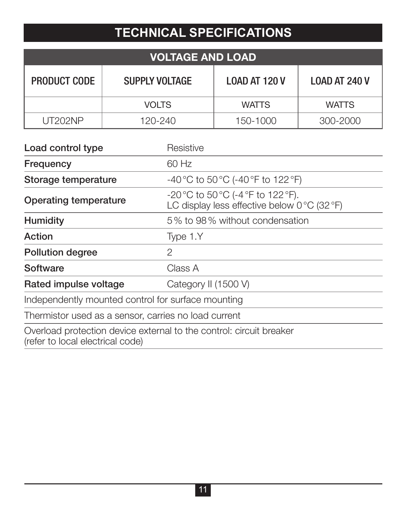## **TECHNICAL SPECIFICATIONS**

| <b>VOLTAGE AND LOAD</b> |                       |                      |                      |  |
|-------------------------|-----------------------|----------------------|----------------------|--|
| PRODUCT CODE            | <b>SUPPLY VOLTAGE</b> | <b>LOAD AT 120 V</b> | <b>LOAD AT 240 V</b> |  |
|                         | <b>VOLTS</b>          | <b>WATTS</b>         | <b>WATTS</b>         |  |
| UT202NP                 | 120-240               | 150-1000             | 300-2000             |  |

| Load control type                                    | Resistive                                                                          |
|------------------------------------------------------|------------------------------------------------------------------------------------|
| Frequency                                            | 60 Hz                                                                              |
| Storage temperature                                  | -40 °C to 50 °C (-40 °F to 122 °F)                                                 |
| Operating temperature                                | -20 °C to 50 °C (-4 °F to 122 °F).<br>LC display less effective below 0 °C (32 °F) |
| Humidity                                             | 5% to 98% without condensation                                                     |
| Action                                               | Type 1.Y                                                                           |
| Pollution degree                                     | $\mathfrak{p}$                                                                     |
| Software                                             | Class A                                                                            |
| Rated impulse voltage                                | Category II (1500 V)                                                               |
| Independently mounted control for surface mounting   |                                                                                    |
| Thermistor used as a sensor, carries no load current |                                                                                    |
| (refer to local electrical code)                     | Overload protection device external to the control: circuit breaker                |